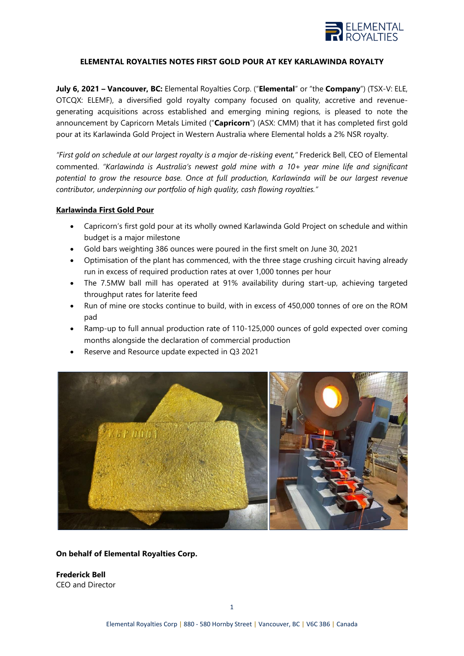

#### **ELEMENTAL ROYALTIES NOTES FIRST GOLD POUR AT KEY KARLAWINDA ROYALTY**

**July 6, 2021 – Vancouver, BC:** Elemental Royalties Corp. ("**Elemental**" or "the **Company**") (TSX-V: ELE, OTCQX: ELEMF), a diversified gold royalty company focused on quality, accretive and revenuegenerating acquisitions across established and emerging mining regions, is pleased to note the announcement by Capricorn Metals Limited ("**Capricorn**") (ASX: CMM) that it has completed first gold pour at its Karlawinda Gold Project in Western Australia where Elemental holds a 2% NSR royalty.

*"First gold on schedule at our largest royalty is a major de-risking event,"* Frederick Bell, CEO of Elemental commented. *"Karlawinda is Australia's newest gold mine with a 10+ year mine life and significant potential to grow the resource base. Once at full production, Karlawinda will be our largest revenue contributor, underpinning our portfolio of high quality, cash flowing royalties."*

#### **Karlawinda First Gold Pour**

- Capricorn's first gold pour at its wholly owned Karlawinda Gold Project on schedule and within budget is a major milestone
- Gold bars weighting 386 ounces were poured in the first smelt on June 30, 2021
- Optimisation of the plant has commenced, with the three stage crushing circuit having already run in excess of required production rates at over 1,000 tonnes per hour
- The 7.5MW ball mill has operated at 91% availability during start-up, achieving targeted throughput rates for laterite feed
- Run of mine ore stocks continue to build, with in excess of 450,000 tonnes of ore on the ROM pad
- Ramp-up to full annual production rate of 110-125,000 ounces of gold expected over coming months alongside the declaration of commercial production
- Reserve and Resource update expected in Q3 2021



### **On behalf of Elemental Royalties Corp.**

**Frederick Bell** CEO and Director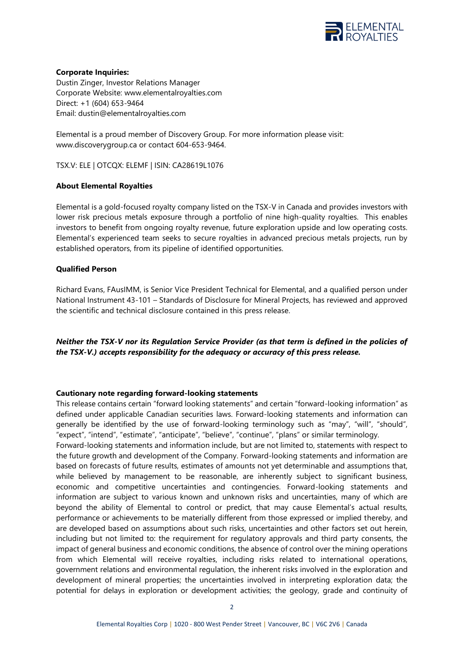

### **Corporate Inquiries:**

Dustin Zinger, Investor Relations Manager Corporate Website: [www.elementalroyalties.com](http://www.elementalroyalties.com/) Direct: +1 (604) 653-9464 Email: [dustin@elementalroyalties.com](mailto:dustin@elementalroyalties.com)

Elemental is a proud member of Discovery Group. For more information please visit: [www.discoverygroup.ca](http://www.discoverygroup.ca/) or contact 604-653-9464.

TSX.V: ELE | OTCQX: ELEMF | ISIN: CA28619L1076

# **About Elemental Royalties**

Elemental is a gold-focused royalty company listed on the TSX-V in Canada and provides investors with lower risk precious metals exposure through a portfolio of nine high-quality royalties. This enables investors to benefit from ongoing royalty revenue, future exploration upside and low operating costs. Elemental's experienced team seeks to secure royalties in advanced precious metals projects, run by established operators, from its pipeline of identified opportunities.

# **Qualified Person**

Richard Evans, FAusIMM, is Senior Vice President Technical for Elemental, and a qualified person under National Instrument 43-101 – Standards of Disclosure for Mineral Projects, has reviewed and approved the scientific and technical disclosure contained in this press release.

# *Neither the TSX-V nor its Regulation Service Provider (as that term is defined in the policies of the TSX-V.) accepts responsibility for the adequacy or accuracy of this press release.*

### **Cautionary note regarding forward-looking statements**

This release contains certain "forward looking statements" and certain "forward-looking information" as defined under applicable Canadian securities laws. Forward-looking statements and information can generally be identified by the use of forward-looking terminology such as "may", "will", "should", "expect", "intend", "estimate", "anticipate", "believe", "continue", "plans" or similar terminology.

Forward-looking statements and information include, but are not limited to, statements with respect to the future growth and development of the Company. Forward-looking statements and information are based on forecasts of future results, estimates of amounts not yet determinable and assumptions that, while believed by management to be reasonable, are inherently subject to significant business, economic and competitive uncertainties and contingencies. Forward-looking statements and information are subject to various known and unknown risks and uncertainties, many of which are beyond the ability of Elemental to control or predict, that may cause Elemental's actual results, performance or achievements to be materially different from those expressed or implied thereby, and are developed based on assumptions about such risks, uncertainties and other factors set out herein, including but not limited to: the requirement for regulatory approvals and third party consents, the impact of general business and economic conditions, the absence of control over the mining operations from which Elemental will receive royalties, including risks related to international operations, government relations and environmental regulation, the inherent risks involved in the exploration and development of mineral properties; the uncertainties involved in interpreting exploration data; the potential for delays in exploration or development activities; the geology, grade and continuity of